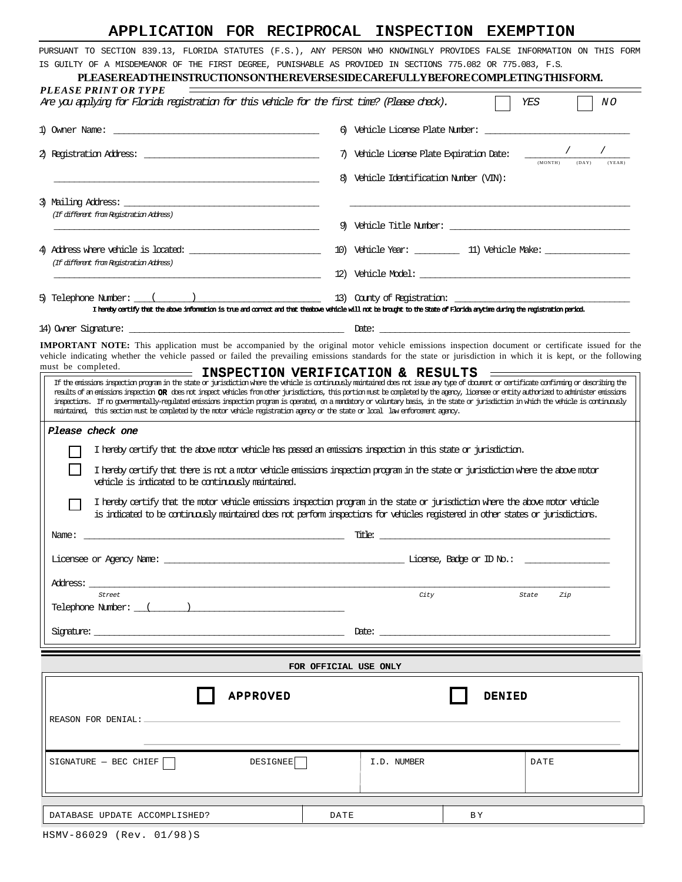# APPLICATION FOR RECIPROCAL INSPECTION EXEMPTION

PURSUANT TO SECTION 839.13, FLORIDA STATUTES (F.S.), ANY PERSON WHO KNOWINGLY PROVIDES FALSE INFORMATION ON THIS FORM IS GUILTY OF A MISDEMEANOR OF THE FIRST DEGREE, PUNISHABLE AS PROVIDED IN SECTIONS 775.082 OR 775.083, F.S.

## **PLEASE READ THE INSTRUCTIONS ON THE REVERSE SIDE CAREFULLY BEFORE COMPLETING THIS FORM.**

| PLEASE PRINT OR TYPE<br>Are you applying for Florida registration for this vehicle for the first time? (Please dnex).                                                                                                                                                                                                                                                                                                                                                                                                                                                                                                                                                                                                                  |      |                                        |               | YES<br>ΝO                                                                                                                                                                                                                      |
|----------------------------------------------------------------------------------------------------------------------------------------------------------------------------------------------------------------------------------------------------------------------------------------------------------------------------------------------------------------------------------------------------------------------------------------------------------------------------------------------------------------------------------------------------------------------------------------------------------------------------------------------------------------------------------------------------------------------------------------|------|----------------------------------------|---------------|--------------------------------------------------------------------------------------------------------------------------------------------------------------------------------------------------------------------------------|
|                                                                                                                                                                                                                                                                                                                                                                                                                                                                                                                                                                                                                                                                                                                                        | 6)   | Vehicle License Plate Number:          |               |                                                                                                                                                                                                                                |
|                                                                                                                                                                                                                                                                                                                                                                                                                                                                                                                                                                                                                                                                                                                                        | 7)   | Vehicle License Plate Expiration Date: |               |                                                                                                                                                                                                                                |
|                                                                                                                                                                                                                                                                                                                                                                                                                                                                                                                                                                                                                                                                                                                                        | 8)   | Vehicle Identification Number (VIN):   |               |                                                                                                                                                                                                                                |
| 3) Mailing Address: the contract of the contract of the contract of the contract of the contract of the contract of the contract of the contract of the contract of the contract of the contract of the contract of the contra<br>(If different from Registration Address)                                                                                                                                                                                                                                                                                                                                                                                                                                                             |      |                                        |               |                                                                                                                                                                                                                                |
|                                                                                                                                                                                                                                                                                                                                                                                                                                                                                                                                                                                                                                                                                                                                        |      |                                        |               | 9) Vehicle Title Number: contract the contract of the contract of the contract of the contract of the contract of the contract of the contract of the contract of the contract of the contract of the contract of the contract |
| (If different from Registration Address)                                                                                                                                                                                                                                                                                                                                                                                                                                                                                                                                                                                                                                                                                               |      |                                        |               | 10) Vehicle Year: 11) Vehicle Make: 11                                                                                                                                                                                         |
|                                                                                                                                                                                                                                                                                                                                                                                                                                                                                                                                                                                                                                                                                                                                        |      |                                        |               | 12) Vehicle Model:                                                                                                                                                                                                             |
| 5) Telephone Number: $\frac{(1-\frac{1}{2})}{2}$<br>I hereby certify that the above information is true and connect and that theshove vehicle will not be brought to the State of Florida anytime during the registration period.                                                                                                                                                                                                                                                                                                                                                                                                                                                                                                      |      |                                        |               |                                                                                                                                                                                                                                |
|                                                                                                                                                                                                                                                                                                                                                                                                                                                                                                                                                                                                                                                                                                                                        |      |                                        |               |                                                                                                                                                                                                                                |
| <b>IMPORTANT NOTE:</b> This application must be accompanied by the original motor vehicle emissions inspection document or certificate issued for the<br>vehicle indicating whether the vehicle passed or failed the prevailing emissions standards for the state or jurisdiction in which it is kept, or the following                                                                                                                                                                                                                                                                                                                                                                                                                |      |                                        |               |                                                                                                                                                                                                                                |
| must be completed.<br>INSPECTION VERIFICATION & RESULTS                                                                                                                                                                                                                                                                                                                                                                                                                                                                                                                                                                                                                                                                                |      |                                        |               |                                                                                                                                                                                                                                |
| If the emissions inspection program in the state or jurisdiction where the vehicle is continuously maintained does not, issue any type of document or certificate confirming or describing the<br>results of an emissions inspection <b>OR</b> does not impect vehicles from other jurisdictions, this portion must be completed by the agency, license or entity authorized to administer emissions<br>inspections. If no governmentally-regulated emissions inspection program is operated, on a manakony or voluntary basis, in the state or jurisdiction in which the vehicle is continuously<br>maintained, this section must be completed by the motor vehicle registration agency or the state or local law enforcement agency. |      |                                        |               |                                                                                                                                                                                                                                |
| Please check one                                                                                                                                                                                                                                                                                                                                                                                                                                                                                                                                                                                                                                                                                                                       |      |                                        |               |                                                                                                                                                                                                                                |
| I hereby certify that the above motor vehicle has passed an emissions inspection in this state or jurisdiction.                                                                                                                                                                                                                                                                                                                                                                                                                                                                                                                                                                                                                        |      |                                        |               |                                                                                                                                                                                                                                |
| I hereby certify that there is not a motor vehicle emissions inspection program in the state or jurisdiction where the above motor<br>vehicle is indicated to be continuously maintained.                                                                                                                                                                                                                                                                                                                                                                                                                                                                                                                                              |      |                                        |               |                                                                                                                                                                                                                                |
| I hereby certify that the motor vehicle emissions inspection program in the state or jurisdiction where the above motor vehicle<br>is indicated to be continuously maintained does not perform inspections for vehicles registered in other states or jurisdictions.                                                                                                                                                                                                                                                                                                                                                                                                                                                                   |      |                                        |               |                                                                                                                                                                                                                                |
| Name:                                                                                                                                                                                                                                                                                                                                                                                                                                                                                                                                                                                                                                                                                                                                  |      | Title:                                 |               | the control of the control of the control of the control of the control of the control of                                                                                                                                      |
|                                                                                                                                                                                                                                                                                                                                                                                                                                                                                                                                                                                                                                                                                                                                        |      |                                        |               |                                                                                                                                                                                                                                |
| Address:                                                                                                                                                                                                                                                                                                                                                                                                                                                                                                                                                                                                                                                                                                                               |      |                                        |               |                                                                                                                                                                                                                                |
| Street<br>Telephone Number: ( )                                                                                                                                                                                                                                                                                                                                                                                                                                                                                                                                                                                                                                                                                                        |      | City                                   |               | State<br>Zip                                                                                                                                                                                                                   |
| signature: the contract of the contract of the contract of the contract of the contract of the contract of the                                                                                                                                                                                                                                                                                                                                                                                                                                                                                                                                                                                                                         |      | $\text{Date: }$                        |               |                                                                                                                                                                                                                                |
|                                                                                                                                                                                                                                                                                                                                                                                                                                                                                                                                                                                                                                                                                                                                        |      | FOR OFFICIAL USE ONLY                  |               |                                                                                                                                                                                                                                |
| <b>APPROVED</b>                                                                                                                                                                                                                                                                                                                                                                                                                                                                                                                                                                                                                                                                                                                        |      |                                        | <b>DENIED</b> |                                                                                                                                                                                                                                |
|                                                                                                                                                                                                                                                                                                                                                                                                                                                                                                                                                                                                                                                                                                                                        |      |                                        |               |                                                                                                                                                                                                                                |
|                                                                                                                                                                                                                                                                                                                                                                                                                                                                                                                                                                                                                                                                                                                                        |      |                                        |               |                                                                                                                                                                                                                                |
| DESIGNEE<br>$SIGNATURE - BEC CHIEF$                                                                                                                                                                                                                                                                                                                                                                                                                                                                                                                                                                                                                                                                                                    |      | I.D. NUMBER                            |               | DATE                                                                                                                                                                                                                           |
|                                                                                                                                                                                                                                                                                                                                                                                                                                                                                                                                                                                                                                                                                                                                        |      |                                        |               |                                                                                                                                                                                                                                |
| DATABASE UPDATE ACCOMPLISHED?                                                                                                                                                                                                                                                                                                                                                                                                                                                                                                                                                                                                                                                                                                          | DATE |                                        | ВY            |                                                                                                                                                                                                                                |
| HSMV-86029 (Rev. 01/98)S                                                                                                                                                                                                                                                                                                                                                                                                                                                                                                                                                                                                                                                                                                               |      |                                        |               |                                                                                                                                                                                                                                |